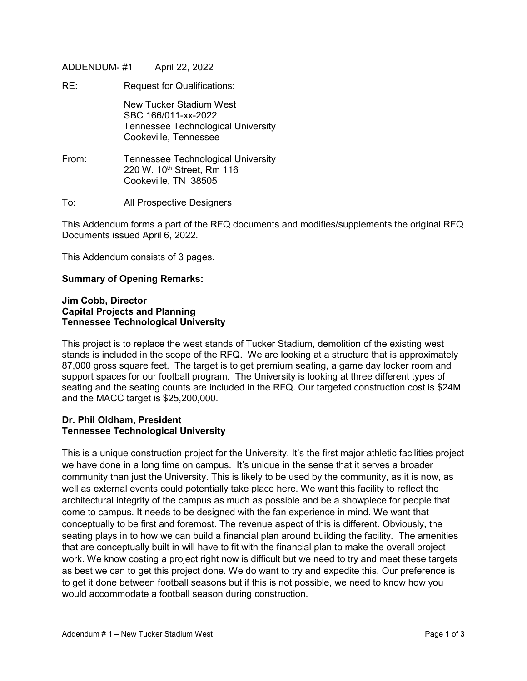ADDENDUM- #1 April 22, 2022

RE: Request for Qualifications:

New Tucker Stadium West SBC 166/011-xx-2022 Tennessee Technological University Cookeville, Tennessee

- From: Tennessee Technological University 220 W. 10<sup>th</sup> Street, Rm 116 Cookeville, TN 38505
- To: All Prospective Designers

This Addendum forms a part of the RFQ documents and modifies/supplements the original RFQ Documents issued April 6, 2022.

This Addendum consists of 3 pages.

## **Summary of Opening Remarks:**

#### **Jim Cobb, Director Capital Projects and Planning Tennessee Technological University**

This project is to replace the west stands of Tucker Stadium, demolition of the existing west stands is included in the scope of the RFQ. We are looking at a structure that is approximately 87,000 gross square feet. The target is to get premium seating, a game day locker room and support spaces for our football program. The University is looking at three different types of seating and the seating counts are included in the RFQ. Our targeted construction cost is \$24M and the MACC target is \$25,200,000.

#### **Dr. Phil Oldham, President Tennessee Technological University**

This is a unique construction project for the University. It's the first major athletic facilities project we have done in a long time on campus. It's unique in the sense that it serves a broader community than just the University. This is likely to be used by the community, as it is now, as well as external events could potentially take place here. We want this facility to reflect the architectural integrity of the campus as much as possible and be a showpiece for people that come to campus. It needs to be designed with the fan experience in mind. We want that conceptually to be first and foremost. The revenue aspect of this is different. Obviously, the seating plays in to how we can build a financial plan around building the facility. The amenities that are conceptually built in will have to fit with the financial plan to make the overall project work. We know costing a project right now is difficult but we need to try and meet these targets as best we can to get this project done. We do want to try and expedite this. Our preference is to get it done between football seasons but if this is not possible, we need to know how you would accommodate a football season during construction.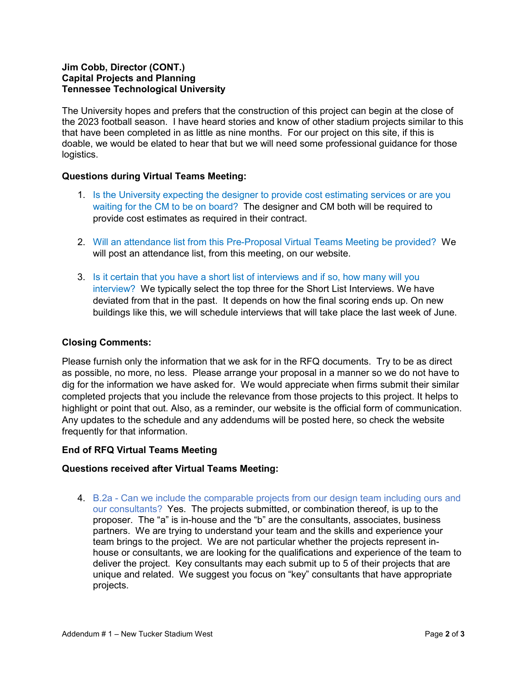## **Jim Cobb, Director (CONT.) Capital Projects and Planning Tennessee Technological University**

The University hopes and prefers that the construction of this project can begin at the close of the 2023 football season. I have heard stories and know of other stadium projects similar to this that have been completed in as little as nine months. For our project on this site, if this is doable, we would be elated to hear that but we will need some professional guidance for those logistics.

# **Questions during Virtual Teams Meeting:**

- 1. Is the University expecting the designer to provide cost estimating services or are you waiting for the CM to be on board? The designer and CM both will be required to provide cost estimates as required in their contract.
- 2. Will an attendance list from this Pre-Proposal Virtual Teams Meeting be provided? We will post an attendance list, from this meeting, on our website.
- 3. Is it certain that you have a short list of interviews and if so, how many will you interview? We typically select the top three for the Short List Interviews. We have deviated from that in the past. It depends on how the final scoring ends up. On new buildings like this, we will schedule interviews that will take place the last week of June.

# **Closing Comments:**

Please furnish only the information that we ask for in the RFQ documents. Try to be as direct as possible, no more, no less. Please arrange your proposal in a manner so we do not have to dig for the information we have asked for. We would appreciate when firms submit their similar completed projects that you include the relevance from those projects to this project. It helps to highlight or point that out. Also, as a reminder, our website is the official form of communication. Any updates to the schedule and any addendums will be posted here, so check the website frequently for that information.

## **End of RFQ Virtual Teams Meeting**

## **Questions received after Virtual Teams Meeting:**

4. B.2a - Can we include the comparable projects from our design team including ours and our consultants? Yes. The projects submitted, or combination thereof, is up to the proposer. The "a" is in-house and the "b" are the consultants, associates, business partners. We are trying to understand your team and the skills and experience your team brings to the project. We are not particular whether the projects represent inhouse or consultants, we are looking for the qualifications and experience of the team to deliver the project. Key consultants may each submit up to 5 of their projects that are unique and related. We suggest you focus on "key" consultants that have appropriate projects.